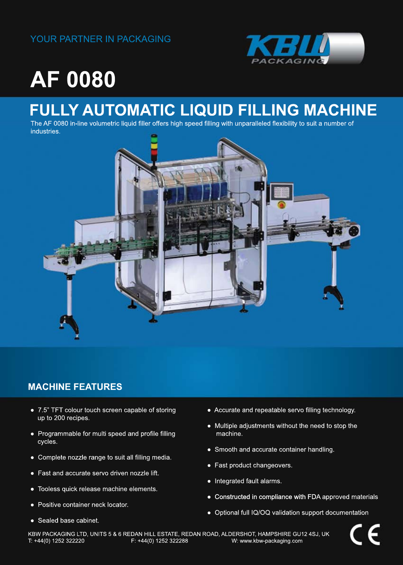

# **AF0080**

## **FULLY AUTOMATIC LIQUID FILLING MACHINE**

The AF 0080 in-line volumetric liquid filler offers high speed filling with unparalleled flexibility to suit a number of industries.



### **MACHINE FEATURES**

- 7.5" TFT colour touch screen capable of storing up to 200 recipes.
- Programmable for multi speed and profile filling cycles.
- Complete nozzle range to suit all filling media.
- Fast and accurate servo driven nozzle lift.
- Tooless quick release machine elements.
- Positive container neck locator.
- Sealed base cabinet.
- Accurate and repeatable servo filling technology.
- Multiple adjustments without the need to stop the machine.
- Smooth and accurate container handling.
- Fast product changeovers.
- Integrated fault alarms.
- Constructed in compliance with FDA approved materials
- Optional full IQ/OQ validation support documentation

KBW PACKAGING LTD, UNITS 5 & 6 REDAN HILL ESTATE, REDAN ROAD, ALDERSHOT, HAMPSHIRE GU12 4SJ, UK<br>T: +44(0) 1252 322388 W: www.kbw-packaging.com W: www.kbw-packaging.com